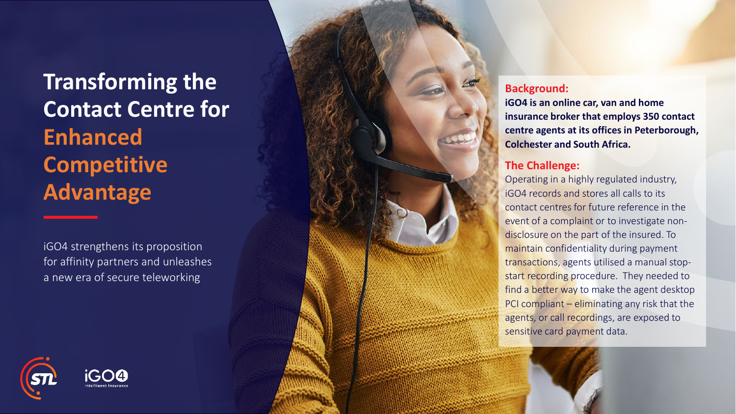## **Transforming the Contact Centre for Enhanced Competitive Advantage**

iGO4 strengthens its proposition for affinity partners and unleashes a new era of secure teleworking





## **Background:**

**iGO4 is an online car, van and home insurance broker that employs 350 contact centre agents at its offices in Peterborough, Colchester and South Africa.**

## **The Challenge:**

Operating in a highly regulated industry, iGO4 records and stores all calls to its contact centres for future reference in the event of a complaint or to investigate nondisclosure on the part of the insured. To maintain confidentiality during payment transactions, agents utilised a manual stopstart recording procedure. They needed to find a better way to make the agent desktop PCI compliant - eliminating any risk that the agents, or call recordings, are exposed to sensitive card payment data.